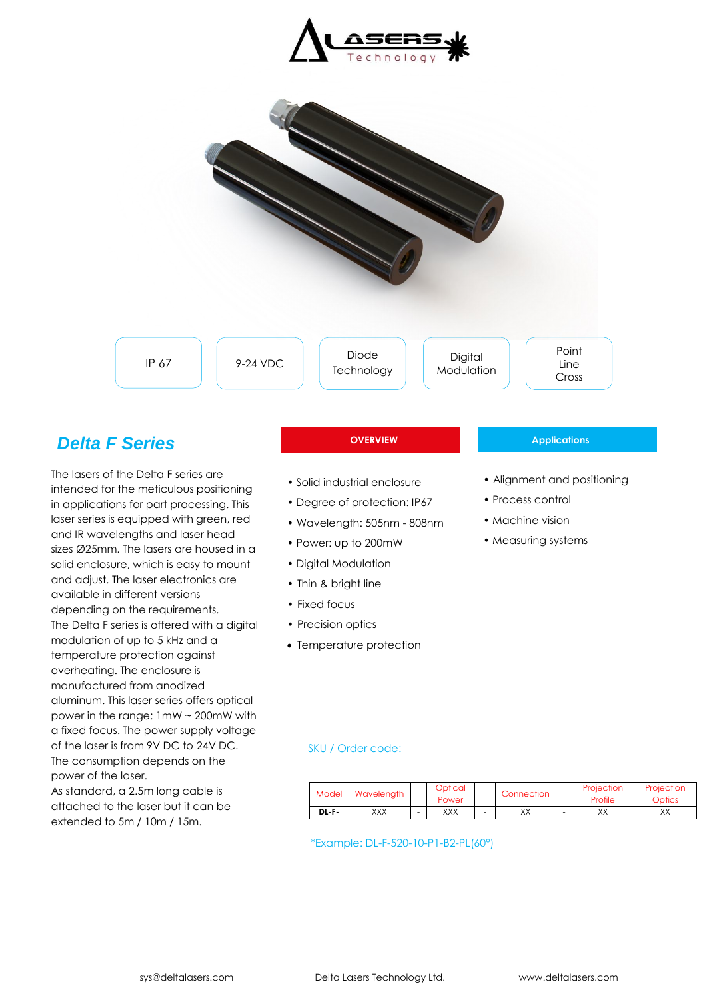



# *Delta F Series*

The lasers of the Delta F series are intended for the meticulous positioning in applications for part processing. This laser series is equipped with green, red and IR wavelengths and laser head sizes Ø25mm. The lasers are housed in a solid enclosure, which is easy to mount and adjust. The laser electronics are available in different versions depending on the requirements. The Delta F series is offered with a digital modulation of up to 5 kHz and a temperature protection against overheating. The enclosure is manufactured from anodized aluminum. This laser series offers optical power in the range: 1mW ~ 200mW with a fixed focus. The power supply voltage of the laser is from 9V DC to 24V DC. The consumption depends on the power of the laser. As standard, a 2.5m long cable is attached to the laser but it can be extended to 5m / 10m / 15m.

- Solid industrial enclosure
- Degree of protection: IP67
- Wavelength: 505nm 808nm
- Power: up to 200mW
- Digital Modulation
- Thin & bright line
- Fixed focus
- Precision optics
- Temperature protection

#### **OVERVIEW Applications**

- Alignment and positioning
- Process control
- Machine vision
- Measuring systems

### SKU / Order code:

| Model | Wavelength | Optical<br>Power | Connection |   | Projection<br>Profile | Projection<br>Optics |
|-------|------------|------------------|------------|---|-----------------------|----------------------|
| DL F- | XXX        | XXX              | XХ         | - | vv<br>∧∧              | vv<br>∧∧             |

\*Example: DL-F-520-10-P1-B2-PL(60°)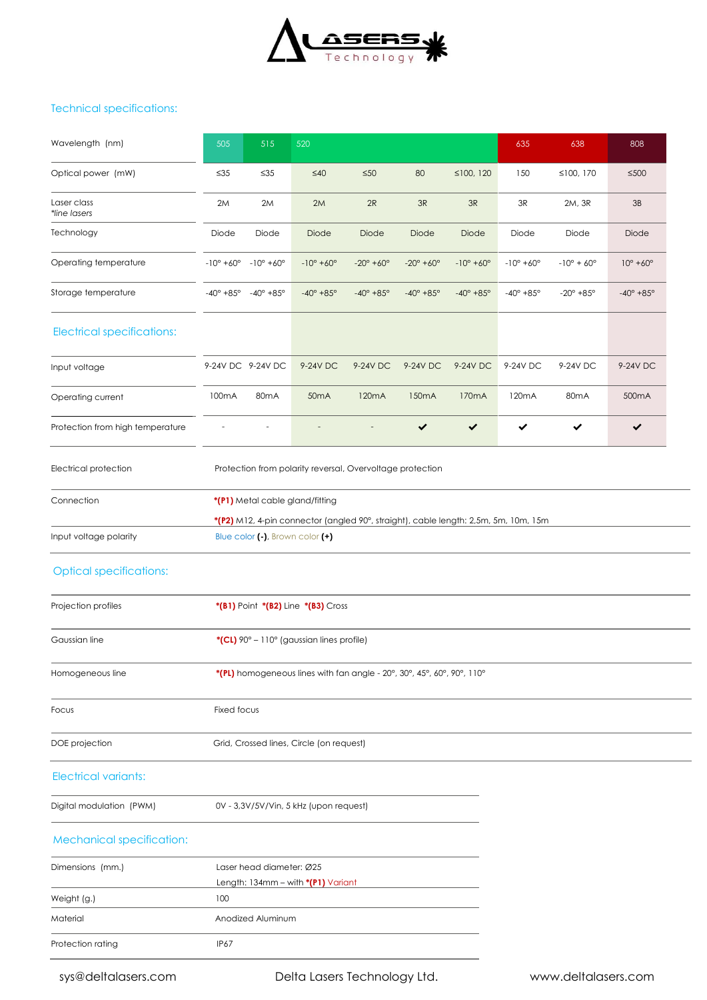

# Technical specifications:

| Wavelength (nm)                   | 505                                                       | 515                                   | 520                                                                                 |                            |                            |                            | 635                        | 638                        | 808                        |
|-----------------------------------|-----------------------------------------------------------|---------------------------------------|-------------------------------------------------------------------------------------|----------------------------|----------------------------|----------------------------|----------------------------|----------------------------|----------------------------|
| Optical power (mW)                | $\leq 35$                                                 | $\leq 35$                             | $\leq 40$                                                                           | $\leq 50$                  | 80                         | ≤100, 120                  | 150                        | ≤100, 170                  | $≤500$                     |
| Laser class<br>*line lasers       | 2M                                                        | 2M                                    | 2M                                                                                  | 2R                         | 3R                         | 3R                         | 3R                         | 2M, 3R                     | 3B                         |
| Technology                        | Diode                                                     | Diode                                 | Diode                                                                               | Diode                      | Diode                      | Diode                      | Diode                      | Diode                      | Diode                      |
| Operating temperature             | $-10^{\circ} + 60^{\circ} - 10^{\circ} + 60^{\circ}$      |                                       | $-10^{\circ} + 60^{\circ}$                                                          | $-20^{\circ} + 60^{\circ}$ | $-20^{\circ} + 60^{\circ}$ | $-10^{\circ} + 60^{\circ}$ | $-10^{\circ} + 60^{\circ}$ | $-10^{\circ} + 60^{\circ}$ | $10^{\circ} + 60^{\circ}$  |
| Storage temperature               |                                                           | $-40^{\circ}$ +85° $-40^{\circ}$ +85° | $-40^{\circ} + 85^{\circ}$                                                          | $-40^{\circ} + 85^{\circ}$ | $-40^{\circ} + 85^{\circ}$ | $-40^{\circ} + 85^{\circ}$ | $-40^{\circ} + 85^{\circ}$ | $-20^{\circ} + 85^{\circ}$ | $-40^{\circ} + 85^{\circ}$ |
| <b>Electrical specifications:</b> |                                                           |                                       |                                                                                     |                            |                            |                            |                            |                            |                            |
| Input voltage                     | 9-24V DC 9-24V DC                                         |                                       | 9-24V DC                                                                            | 9-24V DC                   | 9-24V DC                   | 9-24V DC                   | 9-24V DC                   | 9-24V DC                   | 9-24V DC                   |
| Operating current                 | 100mA                                                     | 80 <sub>m</sub> A                     | 50 <sub>m</sub> A                                                                   | 120 <sub>m</sub> A         | 150 <sub>m</sub> A         | 170 <sub>m</sub> A         | 120mA                      | 80 <sub>m</sub> A          | 500mA                      |
| Protection from high temperature  |                                                           |                                       |                                                                                     |                            | $\checkmark$               | $\checkmark$               | $\checkmark$               | $\checkmark$               | $\checkmark$               |
| Electrical protection             | Protection from polarity reversal, Overvoltage protection |                                       |                                                                                     |                            |                            |                            |                            |                            |                            |
| Connection                        | *(P1) Metal cable gland/fitting                           |                                       |                                                                                     |                            |                            |                            |                            |                            |                            |
|                                   |                                                           |                                       | *(P2) M12, 4-pin connector (angled 90°, straight), cable length: 2,5m, 5m, 10m, 15m |                            |                            |                            |                            |                            |                            |
| Input voltage polarity            |                                                           | Blue color (-), Brown color (+)       |                                                                                     |                            |                            |                            |                            |                            |                            |

# Optical specifications:

| *(B1) Point *(B2) Line *(B3) Cross               |                                                                                                                     |
|--------------------------------------------------|---------------------------------------------------------------------------------------------------------------------|
| *(CL) $90^\circ$ – 110° (gaussian lines profile) |                                                                                                                     |
|                                                  |                                                                                                                     |
| Fixed focus                                      |                                                                                                                     |
| Grid, Crossed lines, Circle (on request)         |                                                                                                                     |
|                                                  |                                                                                                                     |
| 0V - 3,3V/5V/Vin, 5 kHz (upon request)           |                                                                                                                     |
|                                                  |                                                                                                                     |
| Laser head diameter: Ø25                         |                                                                                                                     |
|                                                  | *(PL) homogeneous lines with fan angle - 20°, 30°, 45°, 60°, 90°, 110°<br>Lenath: 134mm – with <b>*(P1)</b> Variant |

|                   | Length: $134mm - with * (P1) Variant$ |  |
|-------------------|---------------------------------------|--|
| Weight (g.)       | 100                                   |  |
| Material          | Anodized Aluminum                     |  |
| Protection rating | <b>IP67</b>                           |  |

sys@deltalasers.com Delta Lasers Technology Ltd. www.deltalasers.com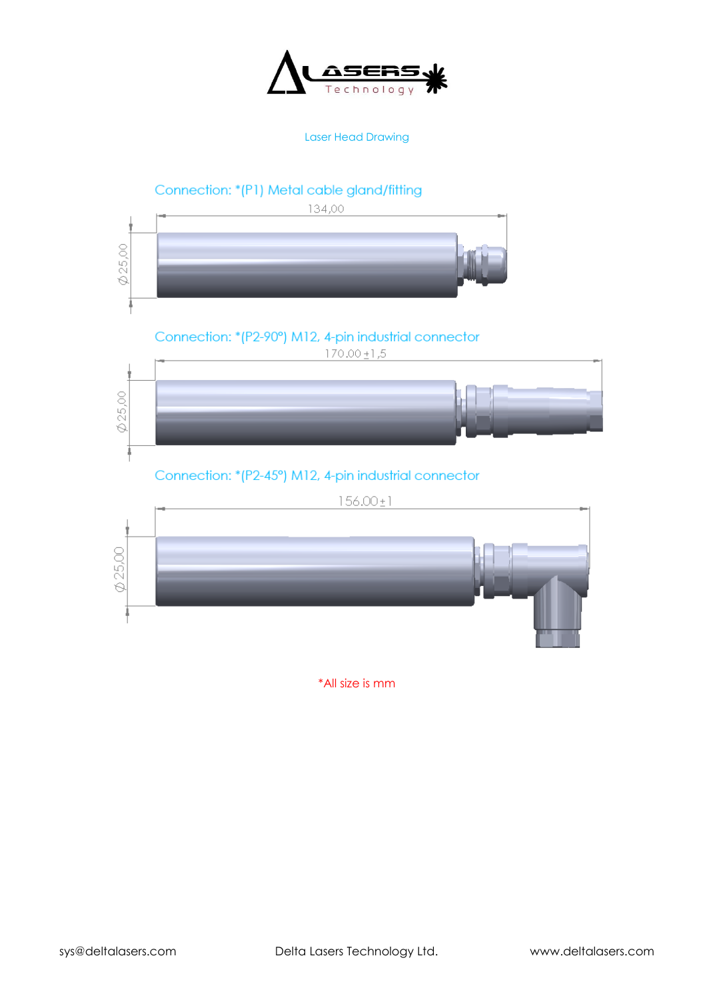

Laser Head Drawing



\*All size is mm